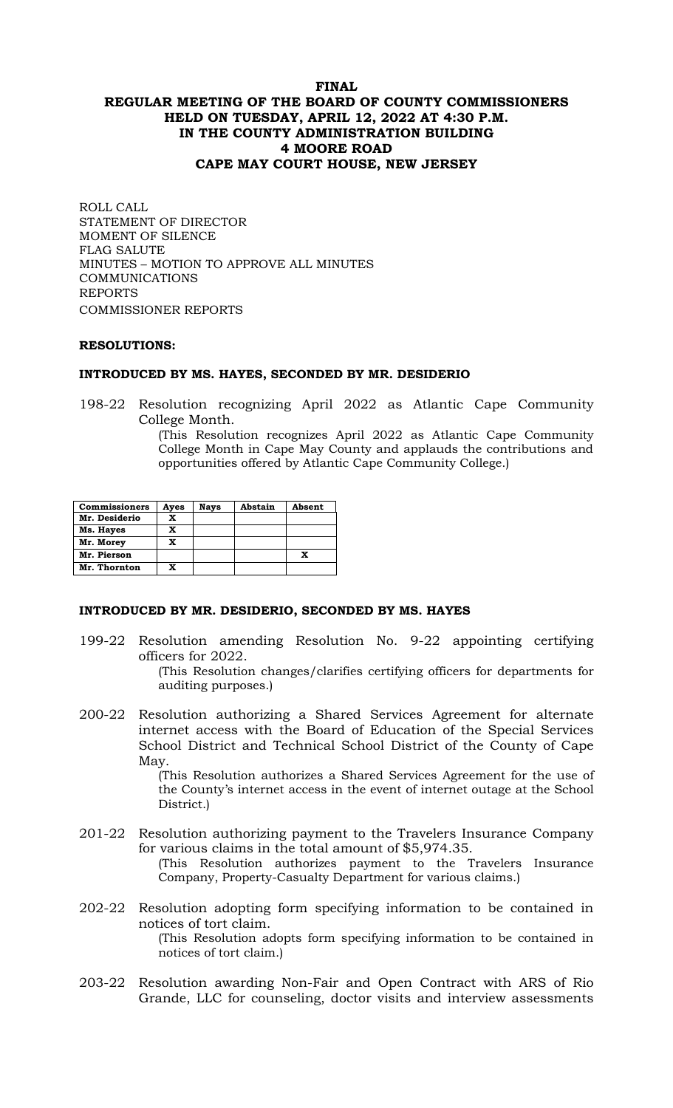# **FINAL REGULAR MEETING OF THE BOARD OF COUNTY COMMISSIONERS HELD ON TUESDAY, APRIL 12, 2022 AT 4:30 P.M. IN THE COUNTY ADMINISTRATION BUILDING 4 MOORE ROAD CAPE MAY COURT HOUSE, NEW JERSEY**

ROLL CALL STATEMENT OF DIRECTOR MOMENT OF SILENCE FLAG SALUTE MINUTES – MOTION TO APPROVE ALL MINUTES COMMUNICATIONS REPORTS COMMISSIONER REPORTS

#### **RESOLUTIONS:**

#### **INTRODUCED BY MS. HAYES, SECONDED BY MR. DESIDERIO**

198-22 Resolution recognizing April 2022 as Atlantic Cape Community College Month.

> (This Resolution recognizes April 2022 as Atlantic Cape Community College Month in Cape May County and applauds the contributions and opportunities offered by Atlantic Cape Community College.)

| <b>Commissioners</b> | Ayes | <b>Nays</b> | Abstain | Absent |
|----------------------|------|-------------|---------|--------|
| Mr. Desiderio        | x    |             |         |        |
| Ms. Hayes            | x    |             |         |        |
| Mr. Morey            | x    |             |         |        |
| Mr. Pierson          |      |             |         |        |
| Mr. Thornton         | X    |             |         |        |

#### **INTRODUCED BY MR. DESIDERIO, SECONDED BY MS. HAYES**

- 199-22 Resolution amending Resolution No. 9-22 appointing certifying officers for 2022. (This Resolution changes/clarifies certifying officers for departments for auditing purposes.)
- 200-22 Resolution authorizing a Shared Services Agreement for alternate internet access with the Board of Education of the Special Services School District and Technical School District of the County of Cape May.

(This Resolution authorizes a Shared Services Agreement for the use of the County's internet access in the event of internet outage at the School District.)

- 201-22 Resolution authorizing payment to the Travelers Insurance Company for various claims in the total amount of \$5,974.35. (This Resolution authorizes payment to the Travelers Insurance Company, Property-Casualty Department for various claims.)
- 202-22 Resolution adopting form specifying information to be contained in notices of tort claim.

(This Resolution adopts form specifying information to be contained in notices of tort claim.)

203-22 Resolution awarding Non-Fair and Open Contract with ARS of Rio Grande, LLC for counseling, doctor visits and interview assessments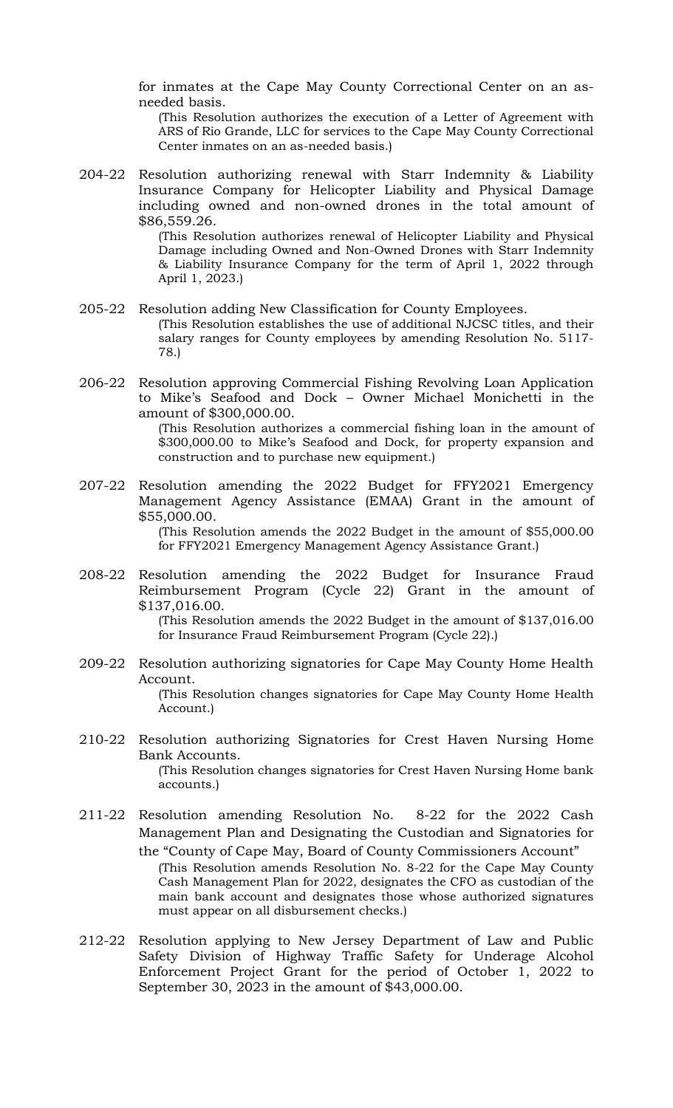for inmates at the Cape May County Correctional Center on an asneeded basis.

(This Resolution authorizes the execution of a Letter of Agreement with ARS of Rio Grande, LLC for services to the Cape May County Correctional Center inmates on an as-needed basis.)

204-22 Resolution authorizing renewal with Starr Indemnity & Liability Insurance Company for Helicopter Liability and Physical Damage including owned and non-owned drones in the total amount of \$86,559.26.

(This Resolution authorizes renewal of Helicopter Liability and Physical Damage including Owned and Non-Owned Drones with Starr Indemnity & Liability Insurance Company for the term of April 1, 2022 through April 1, 2023.)

- 205-22 Resolution adding New Classification for County Employees. (This Resolution establishes the use of additional NJCSC titles, and their salary ranges for County employees by amending Resolution No. 5117- 78.)
- 206-22 Resolution approving Commercial Fishing Revolving Loan Application to Mike's Seafood and Dock – Owner Michael Monichetti in the amount of \$300,000.00.

(This Resolution authorizes a commercial fishing loan in the amount of \$300,000.00 to Mike's Seafood and Dock, for property expansion and construction and to purchase new equipment.)

207-22 Resolution amending the 2022 Budget for FFY2021 Emergency Management Agency Assistance (EMAA) Grant in the amount of \$55,000.00. (This Resolution amends the 2022 Budget in the amount of \$55,000.00

for FFY2021 Emergency Management Agency Assistance Grant.)

208-22 Resolution amending the 2022 Budget for Insurance Fraud Reimbursement Program (Cycle 22) Grant in the amount of \$137,016.00.

(This Resolution amends the 2022 Budget in the amount of \$137,016.00 for Insurance Fraud Reimbursement Program (Cycle 22).)

- 209-22 Resolution authorizing signatories for Cape May County Home Health Account. (This Resolution changes signatories for Cape May County Home Health Account.)
- 210-22 Resolution authorizing Signatories for Crest Haven Nursing Home Bank Accounts. (This Resolution changes signatories for Crest Haven Nursing Home bank accounts.)
- 211-22 Resolution amending Resolution No. 8-22 for the 2022 Cash Management Plan and Designating the Custodian and Signatories for the "County of Cape May, Board of County Commissioners Account" (This Resolution amends Resolution No. 8-22 for the Cape May County Cash Management Plan for 2022, designates the CFO as custodian of the main bank account and designates those whose authorized signatures must appear on all disbursement checks.)
- 212-22 Resolution applying to New Jersey Department of Law and Public Safety Division of Highway Traffic Safety for Underage Alcohol Enforcement Project Grant for the period of October 1, 2022 to September 30, 2023 in the amount of \$43,000.00.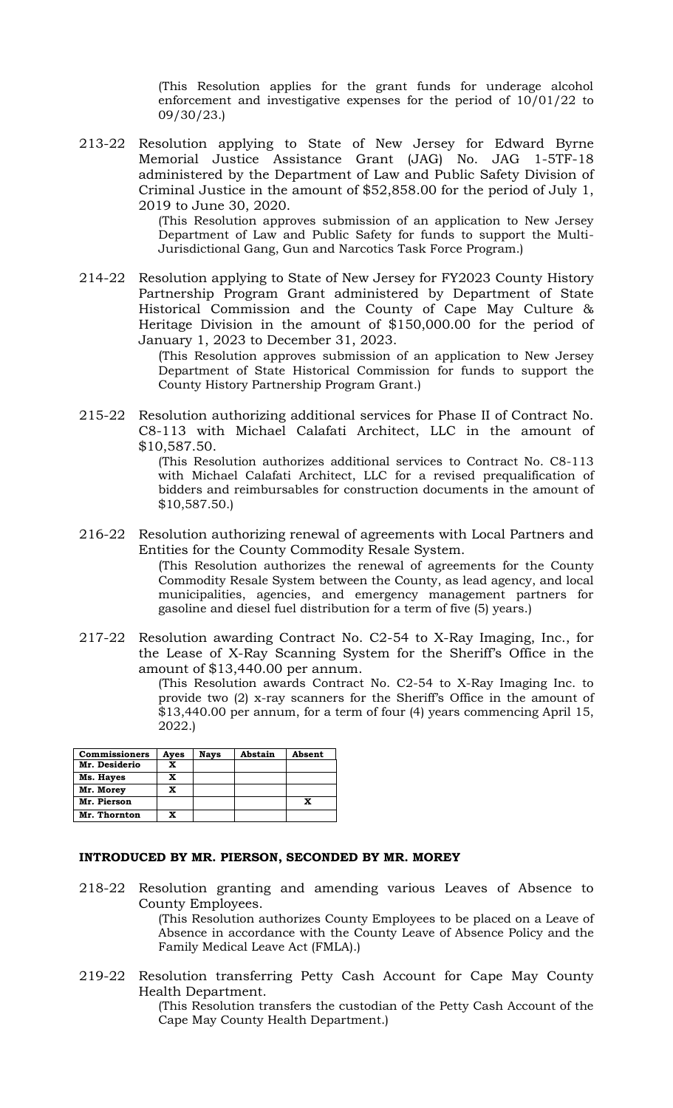(This Resolution applies for the grant funds for underage alcohol enforcement and investigative expenses for the period of 10/01/22 to 09/30/23.)

213-22 Resolution applying to State of New Jersey for Edward Byrne Memorial Justice Assistance Grant (JAG) No. JAG 1-5TF-18 administered by the Department of Law and Public Safety Division of Criminal Justice in the amount of \$52,858.00 for the period of July 1, 2019 to June 30, 2020.

> (This Resolution approves submission of an application to New Jersey Department of Law and Public Safety for funds to support the Multi-Jurisdictional Gang, Gun and Narcotics Task Force Program.)

214-22 Resolution applying to State of New Jersey for FY2023 County History Partnership Program Grant administered by Department of State Historical Commission and the County of Cape May Culture & Heritage Division in the amount of \$150,000.00 for the period of January 1, 2023 to December 31, 2023.

> (This Resolution approves submission of an application to New Jersey Department of State Historical Commission for funds to support the County History Partnership Program Grant.)

215-22 Resolution authorizing additional services for Phase II of Contract No. C8-113 with Michael Calafati Architect, LLC in the amount of \$10,587.50.

(This Resolution authorizes additional services to Contract No. C8-113 with Michael Calafati Architect, LLC for a revised prequalification of bidders and reimbursables for construction documents in the amount of \$10,587.50.)

216-22 Resolution authorizing renewal of agreements with Local Partners and Entities for the County Commodity Resale System.

> (This Resolution authorizes the renewal of agreements for the County Commodity Resale System between the County, as lead agency, and local municipalities, agencies, and emergency management partners for gasoline and diesel fuel distribution for a term of five (5) years.)

217-22 Resolution awarding Contract No. C2-54 to X-Ray Imaging, Inc., for the Lease of X-Ray Scanning System for the Sheriff's Office in the amount of \$13,440.00 per annum.

> (This Resolution awards Contract No. C2-54 to X-Ray Imaging Inc. to provide two (2) x-ray scanners for the Sheriff's Office in the amount of \$13,440.00 per annum, for a term of four (4) years commencing April 15, 2022.)

| <b>Commissioners</b> | Ayes | <b>Nays</b> | Abstain | Absent |
|----------------------|------|-------------|---------|--------|
| Mr. Desiderio        | x    |             |         |        |
| Ms. Hayes            | X    |             |         |        |
| Mr. Morey            | X    |             |         |        |
| Mr. Pierson          |      |             |         |        |
| Mr. Thornton         | X    |             |         |        |

### **INTRODUCED BY MR. PIERSON, SECONDED BY MR. MOREY**

218-22 Resolution granting and amending various Leaves of Absence to County Employees.

(This Resolution authorizes County Employees to be placed on a Leave of Absence in accordance with the County Leave of Absence Policy and the Family Medical Leave Act (FMLA).)

219-22 Resolution transferring Petty Cash Account for Cape May County Health Department.

(This Resolution transfers the custodian of the Petty Cash Account of the Cape May County Health Department.)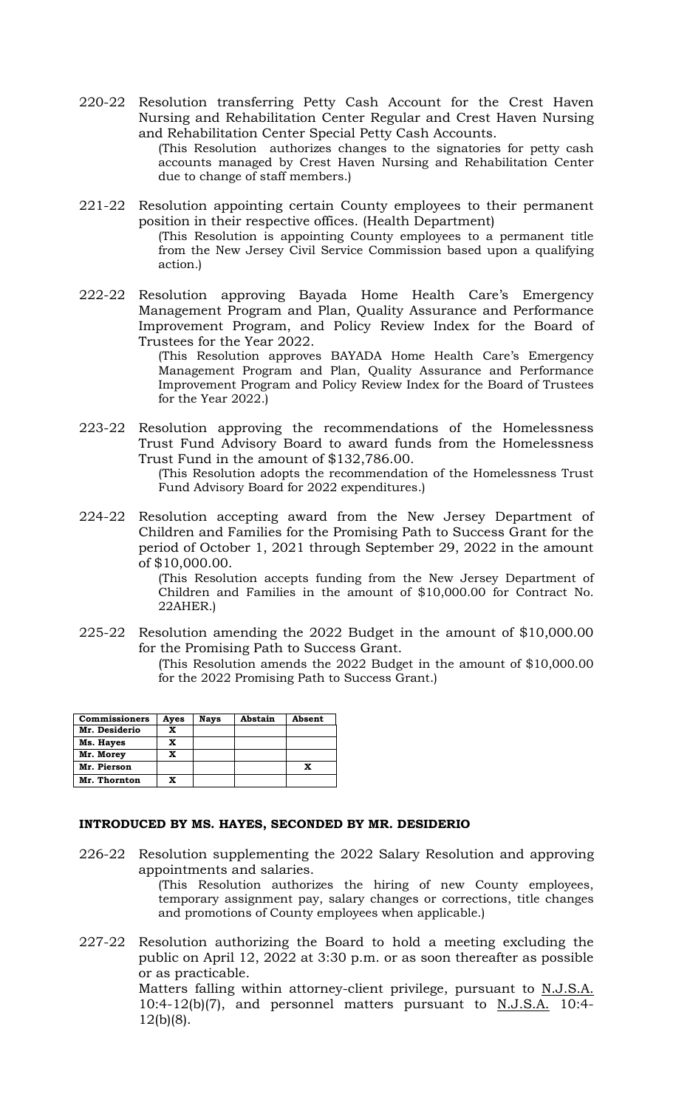220-22 Resolution transferring Petty Cash Account for the Crest Haven Nursing and Rehabilitation Center Regular and Crest Haven Nursing and Rehabilitation Center Special Petty Cash Accounts.

(This Resolution authorizes changes to the signatories for petty cash accounts managed by Crest Haven Nursing and Rehabilitation Center due to change of staff members.)

- 221-22 Resolution appointing certain County employees to their permanent position in their respective offices. (Health Department) (This Resolution is appointing County employees to a permanent title from the New Jersey Civil Service Commission based upon a qualifying action*.*)
- 222-22 Resolution approving Bayada Home Health Care's Emergency Management Program and Plan, Quality Assurance and Performance Improvement Program, and Policy Review Index for the Board of Trustees for the Year 2022.

(This Resolution approves BAYADA Home Health Care's Emergency Management Program and Plan, Quality Assurance and Performance Improvement Program and Policy Review Index for the Board of Trustees for the Year 2022.)

223-22 Resolution approving the recommendations of the Homelessness Trust Fund Advisory Board to award funds from the Homelessness Trust Fund in the amount of \$132,786.00.

> (This Resolution adopts the recommendation of the Homelessness Trust Fund Advisory Board for 2022 expenditures.)

224-22 Resolution accepting award from the New Jersey Department of Children and Families for the Promising Path to Success Grant for the period of October 1, 2021 through September 29, 2022 in the amount of \$10,000.00.

(This Resolution accepts funding from the New Jersey Department of Children and Families in the amount of \$10,000.00 for Contract No. 22AHER.)

225-22 Resolution amending the 2022 Budget in the amount of \$10,000.00 for the Promising Path to Success Grant.

(This Resolution amends the 2022 Budget in the amount of \$10,000.00 for the 2022 Promising Path to Success Grant.)

| <b>Commissioners</b> | Ayes | Nays | Abstain | Absent |
|----------------------|------|------|---------|--------|
| Mr. Desiderio        | X    |      |         |        |
| Ms. Hayes            | X    |      |         |        |
| Mr. Morey            | x    |      |         |        |
| Mr. Pierson          |      |      |         |        |
| Mr. Thornton         |      |      |         |        |

# **INTRODUCED BY MS. HAYES, SECONDED BY MR. DESIDERIO**

226-22 Resolution supplementing the 2022 Salary Resolution and approving appointments and salaries.

(This Resolution authorizes the hiring of new County employees, temporary assignment pay, salary changes or corrections, title changes and promotions of County employees when applicable.)

227-22 Resolution authorizing the Board to hold a meeting excluding the public on April 12, 2022 at 3:30 p.m. or as soon thereafter as possible or as practicable. Matters falling within attorney-client privilege, pursuant to N.J.S.A.

10:4-12(b)(7), and personnel matters pursuant to N.J.S.A. 10:4- 12(b)(8).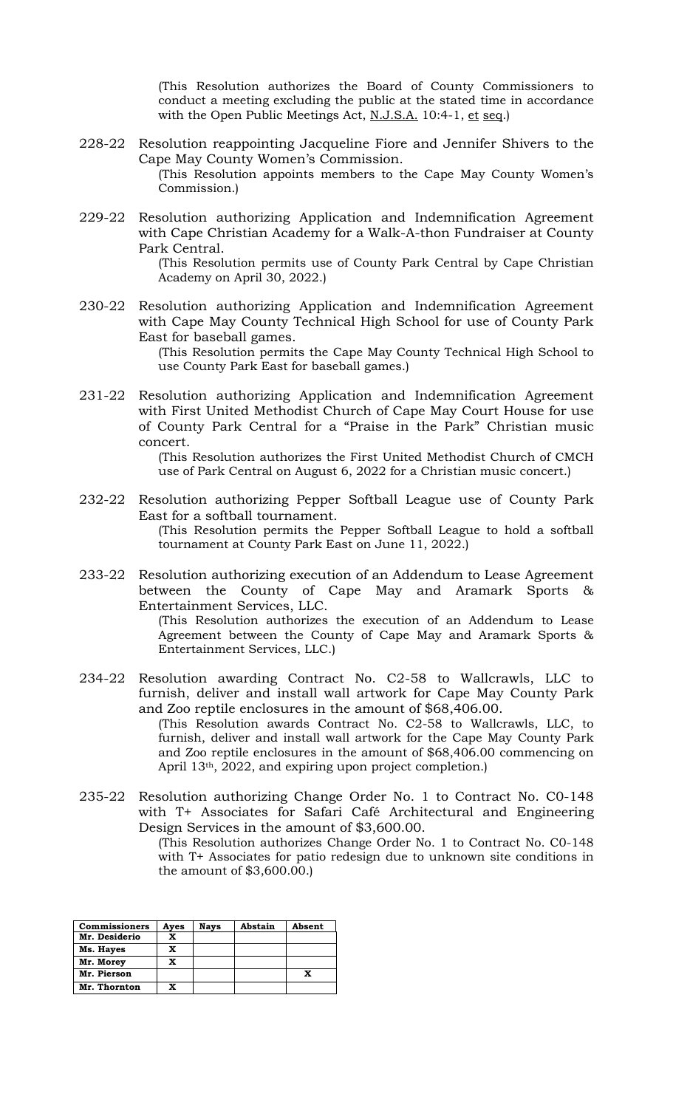(This Resolution authorizes the Board of County Commissioners to conduct a meeting excluding the public at the stated time in accordance with the Open Public Meetings Act, N.J.S.A. 10:4-1, et seq.)

- 228-22 Resolution reappointing Jacqueline Fiore and Jennifer Shivers to the Cape May County Women's Commission. (This Resolution appoints members to the Cape May County Women's Commission.)
- 229-22 Resolution authorizing Application and Indemnification Agreement with Cape Christian Academy for a Walk-A-thon Fundraiser at County Park Central.

(This Resolution permits use of County Park Central by Cape Christian Academy on April 30, 2022.)

230-22 Resolution authorizing Application and Indemnification Agreement with Cape May County Technical High School for use of County Park East for baseball games.

(This Resolution permits the Cape May County Technical High School to use County Park East for baseball games.)

231-22 Resolution authorizing Application and Indemnification Agreement with First United Methodist Church of Cape May Court House for use of County Park Central for a "Praise in the Park" Christian music concert.

(This Resolution authorizes the First United Methodist Church of CMCH use of Park Central on August 6, 2022 for a Christian music concert.)

- 232-22 Resolution authorizing Pepper Softball League use of County Park East for a softball tournament. (This Resolution permits the Pepper Softball League to hold a softball tournament at County Park East on June 11, 2022.)
- 233-22 Resolution authorizing execution of an Addendum to Lease Agreement between the County of Cape May and Aramark Sports Entertainment Services, LLC.

(This Resolution authorizes the execution of an Addendum to Lease Agreement between the County of Cape May and Aramark Sports & Entertainment Services, LLC.)

234-22 Resolution awarding Contract No. C2-58 to Wallcrawls, LLC to furnish, deliver and install wall artwork for Cape May County Park and Zoo reptile enclosures in the amount of \$68,406.00. (This Resolution awards Contract No. C2-58 to Wallcrawls, LLC, to

furnish, deliver and install wall artwork for the Cape May County Park and Zoo reptile enclosures in the amount of \$68,406.00 commencing on April 13<sup>th</sup>, 2022, and expiring upon project completion.)

235-22 Resolution authorizing Change Order No. 1 to Contract No. C0-148 with T+ Associates for Safari Café Architectural and Engineering Design Services in the amount of \$3,600.00.

(This Resolution authorizes Change Order No. 1 to Contract No. C0-148 with T+ Associates for patio redesign due to unknown site conditions in the amount of \$3,600.00.)

| <b>Commissioners</b> | Aves | Nays | Abstain | Absent |
|----------------------|------|------|---------|--------|
| Mr. Desiderio        | x    |      |         |        |
| Ms. Hayes            | x    |      |         |        |
| Mr. Morey            | x    |      |         |        |
| Mr. Pierson          |      |      |         |        |
| Mr. Thornton         |      |      |         |        |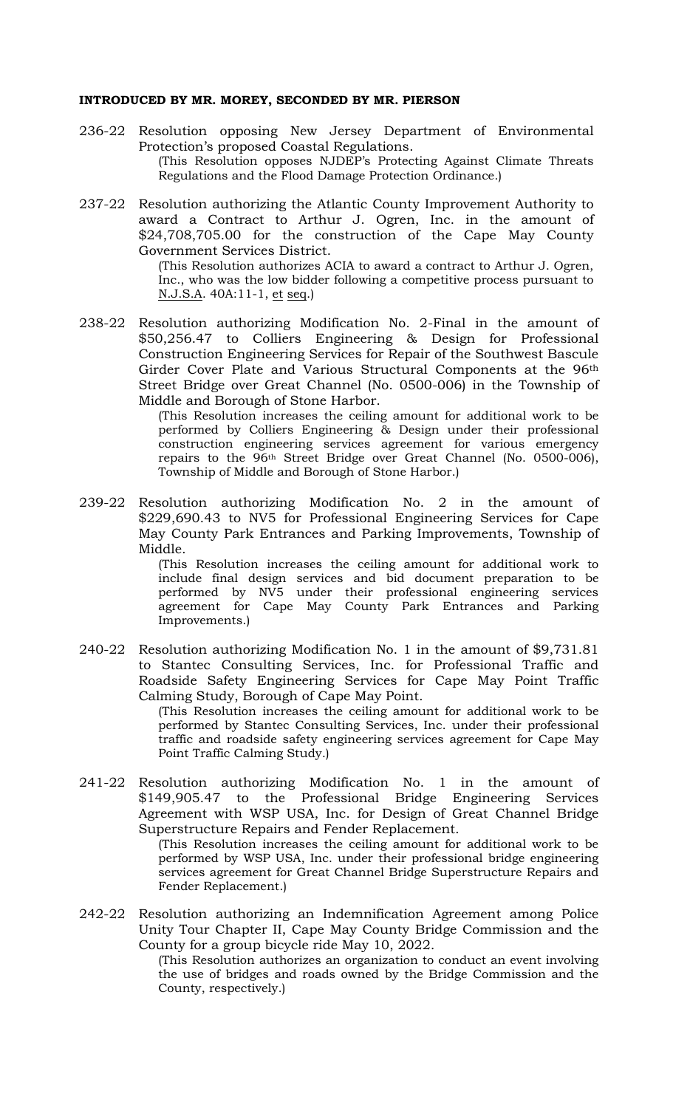#### **INTRODUCED BY MR. MOREY, SECONDED BY MR. PIERSON**

- 236-22 Resolution opposing New Jersey Department of Environmental Protection's proposed Coastal Regulations. (This Resolution opposes NJDEP's Protecting Against Climate Threats Regulations and the Flood Damage Protection Ordinance.)
- 237-22 Resolution authorizing the Atlantic County Improvement Authority to award a Contract to Arthur J. Ogren, Inc. in the amount of \$24,708,705.00 for the construction of the Cape May County Government Services District.

(This Resolution authorizes ACIA to award a contract to Arthur J. Ogren, Inc., who was the low bidder following a competitive process pursuant to N.J.S.A. 40A:11-1, et seq.)

238-22 Resolution authorizing Modification No. 2-Final in the amount of \$50,256.47 to Colliers Engineering & Design for Professional Construction Engineering Services for Repair of the Southwest Bascule Girder Cover Plate and Various Structural Components at the 96th Street Bridge over Great Channel (No. 0500-006) in the Township of Middle and Borough of Stone Harbor.

(This Resolution increases the ceiling amount for additional work to be performed by Colliers Engineering & Design under their professional construction engineering services agreement for various emergency repairs to the 96th Street Bridge over Great Channel (No. 0500-006), Township of Middle and Borough of Stone Harbor.)

239-22 Resolution authorizing Modification No. 2 in the amount of \$229,690.43 to NV5 for Professional Engineering Services for Cape May County Park Entrances and Parking Improvements, Township of Middle.

> (This Resolution increases the ceiling amount for additional work to include final design services and bid document preparation to be performed by NV5 under their professional engineering services agreement for Cape May County Park Entrances and Parking Improvements.)

240-22 Resolution authorizing Modification No. 1 in the amount of \$9,731.81 to Stantec Consulting Services, Inc. for Professional Traffic and Roadside Safety Engineering Services for Cape May Point Traffic Calming Study, Borough of Cape May Point.

> (This Resolution increases the ceiling amount for additional work to be performed by Stantec Consulting Services, Inc. under their professional traffic and roadside safety engineering services agreement for Cape May Point Traffic Calming Study.)

241-22 Resolution authorizing Modification No. 1 in the amount of \$149,905.47 to the Professional Bridge Engineering Services Agreement with WSP USA, Inc. for Design of Great Channel Bridge Superstructure Repairs and Fender Replacement.

(This Resolution increases the ceiling amount for additional work to be performed by WSP USA, Inc. under their professional bridge engineering services agreement for Great Channel Bridge Superstructure Repairs and Fender Replacement.)

242-22 Resolution authorizing an Indemnification Agreement among Police Unity Tour Chapter II, Cape May County Bridge Commission and the County for a group bicycle ride May 10, 2022.

(This Resolution authorizes an organization to conduct an event involving the use of bridges and roads owned by the Bridge Commission and the County, respectively.)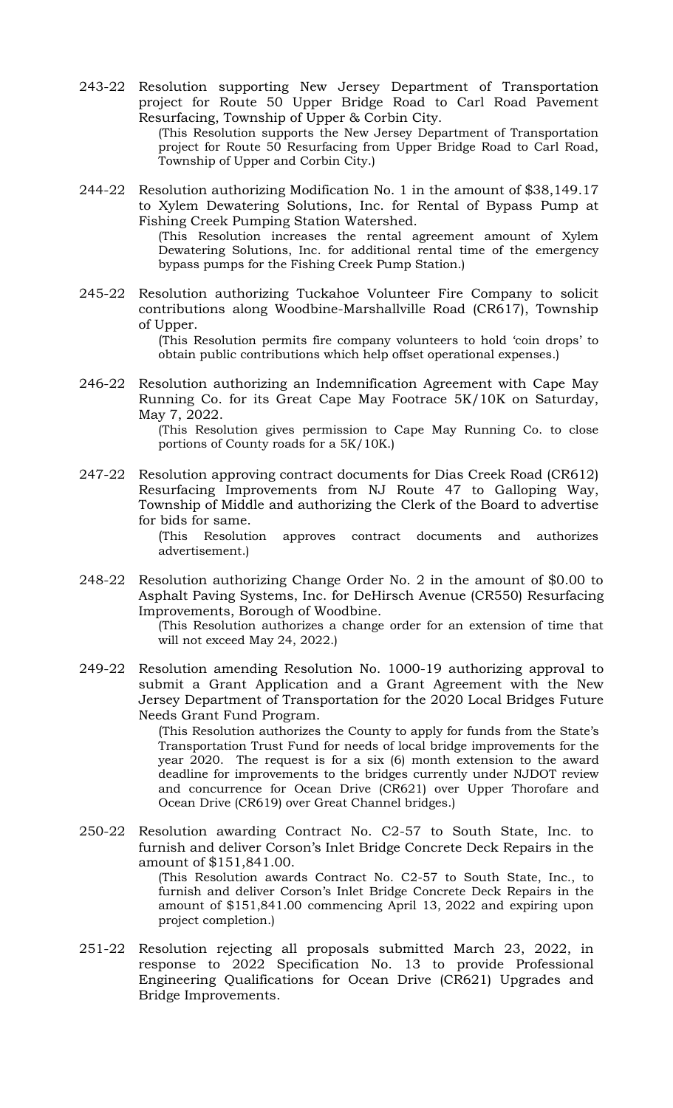243-22 Resolution supporting New Jersey Department of Transportation project for Route 50 Upper Bridge Road to Carl Road Pavement Resurfacing, Township of Upper & Corbin City. (This Resolution supports the New Jersey Department of Transportation

project for Route 50 Resurfacing from Upper Bridge Road to Carl Road, Township of Upper and Corbin City.)

244-22 Resolution authorizing Modification No. 1 in the amount of \$38,149.17 to Xylem Dewatering Solutions, Inc. for Rental of Bypass Pump at Fishing Creek Pumping Station Watershed.

(This Resolution increases the rental agreement amount of Xylem Dewatering Solutions, Inc. for additional rental time of the emergency bypass pumps for the Fishing Creek Pump Station.)

245-22 Resolution authorizing Tuckahoe Volunteer Fire Company to solicit contributions along Woodbine-Marshallville Road (CR617), Township of Upper.

> (This Resolution permits fire company volunteers to hold 'coin drops' to obtain public contributions which help offset operational expenses.)

246-22 Resolution authorizing an Indemnification Agreement with Cape May Running Co. for its Great Cape May Footrace 5K/10K on Saturday, May 7, 2022.

(This Resolution gives permission to Cape May Running Co. to close portions of County roads for a 5K/10K.)

247-22 Resolution approving contract documents for Dias Creek Road (CR612) Resurfacing Improvements from NJ Route 47 to Galloping Way, Township of Middle and authorizing the Clerk of the Board to advertise for bids for same.

> (This Resolution approves contract documents and authorizes advertisement.)

248-22 Resolution authorizing Change Order No. 2 in the amount of \$0.00 to Asphalt Paving Systems, Inc. for DeHirsch Avenue (CR550) Resurfacing Improvements, Borough of Woodbine.

> (This Resolution authorizes a change order for an extension of time that will not exceed May 24, 2022.)

249-22 Resolution amending Resolution No. 1000-19 authorizing approval to submit a Grant Application and a Grant Agreement with the New Jersey Department of Transportation for the 2020 Local Bridges Future Needs Grant Fund Program.

> (This Resolution authorizes the County to apply for funds from the State's Transportation Trust Fund for needs of local bridge improvements for the year 2020. The request is for a six (6) month extension to the award deadline for improvements to the bridges currently under NJDOT review and concurrence for Ocean Drive (CR621) over Upper Thorofare and Ocean Drive (CR619) over Great Channel bridges.)

250-22 Resolution awarding Contract No. C2-57 to South State, Inc. to furnish and deliver Corson's Inlet Bridge Concrete Deck Repairs in the amount of \$151,841.00.

> (This Resolution awards Contract No. C2-57 to South State, Inc., to furnish and deliver Corson's Inlet Bridge Concrete Deck Repairs in the amount of \$151,841.00 commencing April 13, 2022 and expiring upon project completion.)

251-22 Resolution rejecting all proposals submitted March 23, 2022, in response to 2022 Specification No. 13 to provide Professional Engineering Qualifications for Ocean Drive (CR621) Upgrades and Bridge Improvements.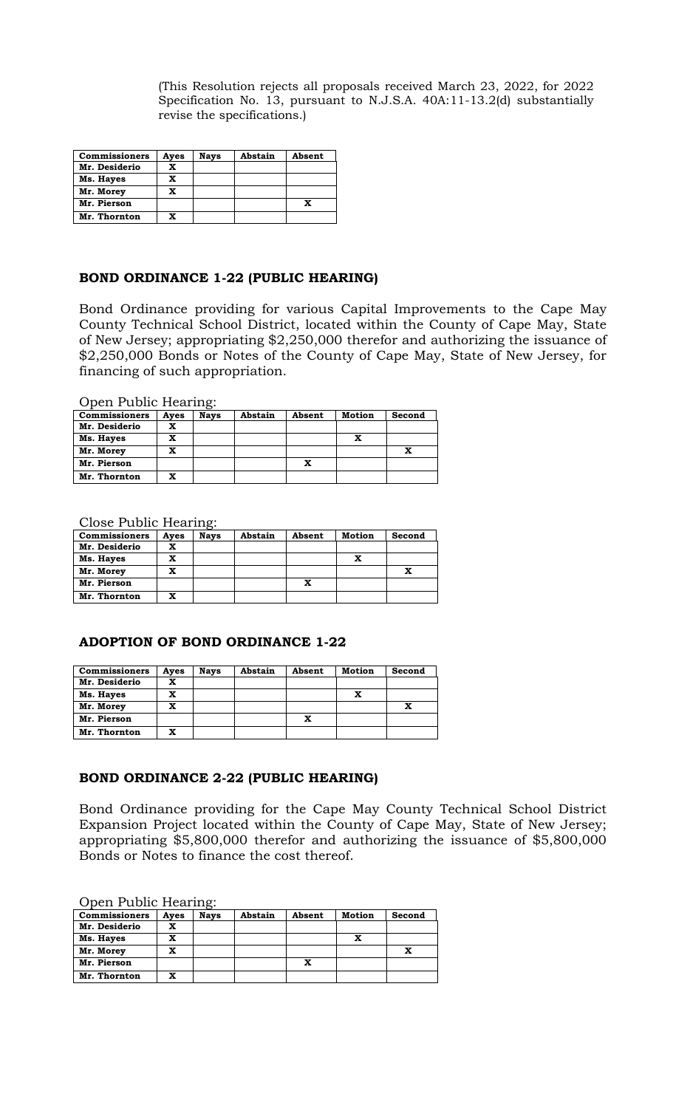(This Resolution rejects all proposals received March 23, 2022, for 2022 Specification No. 13, pursuant to N.J.S.A. 40A:11-13.2(d) substantially revise the specifications.)

| <b>Commissioners</b> | Ayes | <b>Nays</b> | Abstain | Absent |
|----------------------|------|-------------|---------|--------|
| Mr. Desiderio        | x    |             |         |        |
| Ms. Hayes            | x    |             |         |        |
| Mr. Morey            | x    |             |         |        |
| Mr. Pierson          |      |             |         | X      |
| Mr. Thornton         | x    |             |         |        |

### **BOND ORDINANCE 1-22 (PUBLIC HEARING)**

Bond Ordinance providing for various Capital Improvements to the Cape May County Technical School District, located within the County of Cape May, State of New Jersey; appropriating \$2,250,000 therefor and authorizing the issuance of \$2,250,000 Bonds or Notes of the County of Cape May, State of New Jersey, for financing of such appropriation.

Open Public Hearing:

| <b>Commissioners</b> | Ayes | <b>Nays</b> | Abstain | Absent | Motion | Second |
|----------------------|------|-------------|---------|--------|--------|--------|
| Mr. Desiderio        | x    |             |         |        |        |        |
| Ms. Hayes            | x    |             |         |        |        |        |
| Mr. Morey            | x    |             |         |        |        |        |
| Mr. Pierson          |      |             |         | x      |        |        |
| Mr. Thornton         | x    |             |         |        |        |        |

Close Public Hearing:

| <b>Commissioners</b> | Aves | Navs | Abstain | Absent | Motion | Second |
|----------------------|------|------|---------|--------|--------|--------|
| Mr. Desiderio        | x    |      |         |        |        |        |
| Ms. Hayes            | x    |      |         |        |        |        |
| Mr. Morey            | x    |      |         |        |        |        |
| Mr. Pierson          |      |      |         | x      |        |        |
| Mr. Thornton         | x    |      |         |        |        |        |

# **ADOPTION OF BOND ORDINANCE 1-22**

| <b>Commissioners</b> | Ayes | <b>Nays</b> | Abstain | Absent | <b>Motion</b> | Second |
|----------------------|------|-------------|---------|--------|---------------|--------|
| Mr. Desiderio        | x    |             |         |        |               |        |
| Ms. Hayes            | x    |             |         |        | x             |        |
| Mr. Morey            | x    |             |         |        |               |        |
| Mr. Pierson          |      |             |         | x      |               |        |
| Mr. Thornton         | x    |             |         |        |               |        |

## **BOND ORDINANCE 2-22 (PUBLIC HEARING)**

Bond Ordinance providing for the Cape May County Technical School District Expansion Project located within the County of Cape May, State of New Jersey; appropriating \$5,800,000 therefor and authorizing the issuance of \$5,800,000 Bonds or Notes to finance the cost thereof.

Open Public Hearing:

| <b>Commissioners</b> | Ayes | <b>Nays</b> | Abstain | Absent | Motion | Second |
|----------------------|------|-------------|---------|--------|--------|--------|
| Mr. Desiderio        | x    |             |         |        |        |        |
|                      |      |             |         |        |        |        |
| Ms. Hayes            | x    |             |         |        |        |        |
| Mr. Morey            | x    |             |         |        |        |        |
| Mr. Pierson          |      |             |         | x      |        |        |
| Mr. Thornton         | x    |             |         |        |        |        |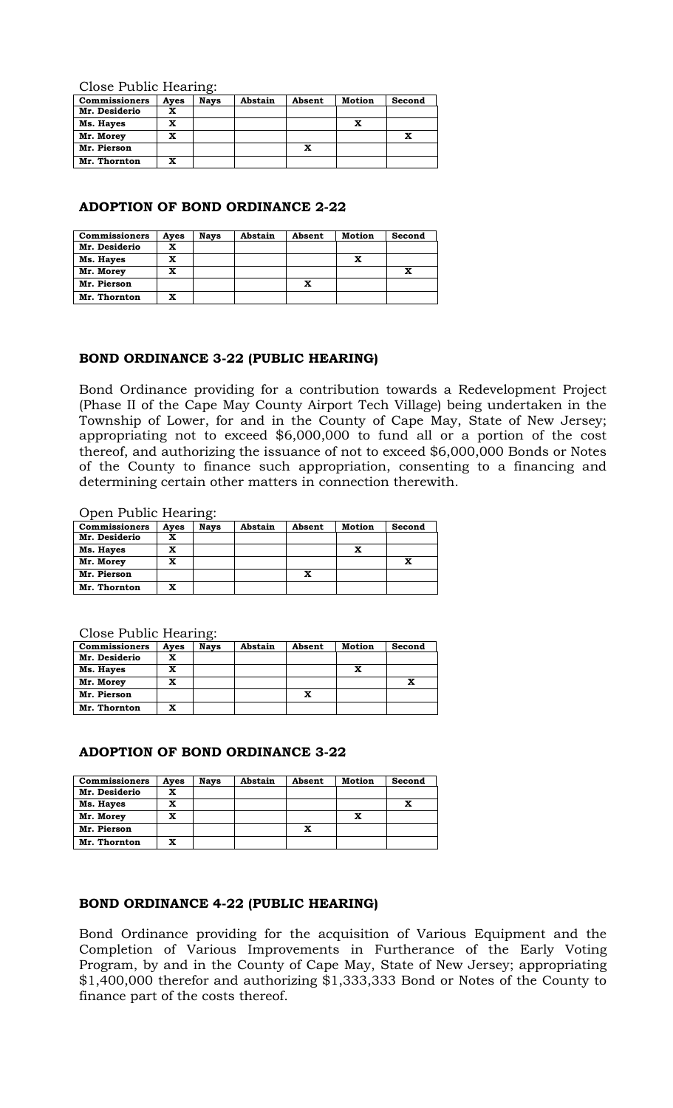Close Public Hearing:

| <b>Commissioners</b> | Ayes | <b>Nays</b> | Abstain | Absent | Motion | Second |
|----------------------|------|-------------|---------|--------|--------|--------|
| Mr. Desiderio        | x    |             |         |        |        |        |
| Ms. Hayes            | x    |             |         |        |        |        |
| Mr. Morey            | x    |             |         |        |        |        |
| Mr. Pierson          |      |             |         | x      |        |        |
| Mr. Thornton         | x    |             |         |        |        |        |

### **ADOPTION OF BOND ORDINANCE 2-22**

| <b>Commissioners</b> | Ayes | <b>Nays</b> | Abstain | Absent | Motion | Second |
|----------------------|------|-------------|---------|--------|--------|--------|
| Mr. Desiderio        | x    |             |         |        |        |        |
| Ms. Hayes            | x    |             |         |        | x      |        |
| Mr. Morey            | x    |             |         |        |        |        |
| Mr. Pierson          |      |             |         | x      |        |        |
| Mr. Thornton         | x    |             |         |        |        |        |

### **BOND ORDINANCE 3-22 (PUBLIC HEARING)**

Bond Ordinance providing for a contribution towards a Redevelopment Project (Phase II of the Cape May County Airport Tech Village) being undertaken in the Township of Lower, for and in the County of Cape May, State of New Jersey; appropriating not to exceed \$6,000,000 to fund all or a portion of the cost thereof, and authorizing the issuance of not to exceed \$6,000,000 Bonds or Notes of the County to finance such appropriation, consenting to a financing and determining certain other matters in connection therewith.

Open Public Hearing:

| <b>Commissioners</b> | Ayes | <b>Nays</b> | Abstain | Absent | <b>Motion</b> | Second |
|----------------------|------|-------------|---------|--------|---------------|--------|
| Mr. Desiderio        | x    |             |         |        |               |        |
| Ms. Hayes            | X    |             |         |        | x             |        |
| Mr. Morey            | x    |             |         |        |               | x      |
| Mr. Pierson          |      |             |         | x      |               |        |
| Mr. Thornton         | x    |             |         |        |               |        |

Close Public Hearing:

| <b>Commissioners</b> | Ayes | <b>Navs</b> | Abstain | Absent | Motion | Second |
|----------------------|------|-------------|---------|--------|--------|--------|
| Mr. Desiderio        | x    |             |         |        |        |        |
| Ms. Hayes            | x    |             |         |        |        |        |
| Mr. Morey            | x    |             |         |        |        |        |
| Mr. Pierson          |      |             |         | x      |        |        |
| Mr. Thornton         | x    |             |         |        |        |        |

# **ADOPTION OF BOND ORDINANCE 3-22**

| <b>Commissioners</b> | Ayes | <b>Nays</b> | Abstain | Absent | Motion | Second |
|----------------------|------|-------------|---------|--------|--------|--------|
| Mr. Desiderio        | x    |             |         |        |        |        |
| Ms. Hayes            | x    |             |         |        |        |        |
| Mr. Morey            | x    |             |         |        | x      |        |
| Mr. Pierson          |      |             |         | x      |        |        |
| Mr. Thornton         | x    |             |         |        |        |        |

# **BOND ORDINANCE 4-22 (PUBLIC HEARING)**

Bond Ordinance providing for the acquisition of Various Equipment and the Completion of Various Improvements in Furtherance of the Early Voting Program, by and in the County of Cape May, State of New Jersey; appropriating \$1,400,000 therefor and authorizing \$1,333,333 Bond or Notes of the County to finance part of the costs thereof.